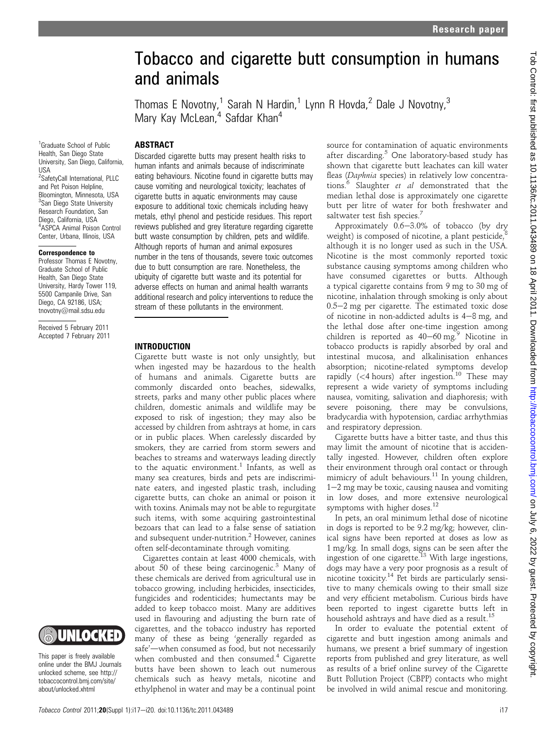# Tobacco and cigarette butt consumption in humans and animals

Thomas E Novotny,<sup>1</sup> Sarah N Hardin,<sup>1</sup> Lynn R Hovda,<sup>2</sup> Dale J Novotny,<sup>3</sup> Mary Kay McLean,<sup>4</sup> Safdar Khan<sup>4</sup>

# **ABSTRACT**

<sup>1</sup>Graduate School of Public Health, San Diego State University, San Diego, California, USA

<sup>2</sup>SafetyCall International, PLLC and Pet Poison Helpline, Bloomington, Minnesota, USA <sup>3</sup>San Diego State University Research Foundation, San Diego, California, USA 4 ASPCA Animal Poison Control Center, Urbana, Illinois, USA

#### Correspondence to

Professor Thomas E Novotny, Graduate School of Public Health, San Diego State University, Hardy Tower 119, 5500 Campanile Drive, San Diego, CA 92186, USA; tnovotny@mail.sdsu.edu

Received 5 February 2011 Accepted 7 February 2011



This paper is freely available online under the BMJ Journals unlocked scheme, see http:// tobaccocontrol.bmj.com/site/ about/unlocked.xhtml

Discarded cigarette butts may present health risks to human infants and animals because of indiscriminate eating behaviours. Nicotine found in cigarette butts may cause vomiting and neurological toxicity; leachates of cigarette butts in aquatic environments may cause exposure to additional toxic chemicals including heavy metals, ethyl phenol and pesticide residues. This report reviews published and grey literature regarding cigarette butt waste consumption by children, pets and wildlife. Although reports of human and animal exposures number in the tens of thousands, severe toxic outcomes due to butt consumption are rare. Nonetheless, the ubiquity of cigarette butt waste and its potential for adverse effects on human and animal health warrants additional research and policy interventions to reduce the stream of these pollutants in the environment.

#### INTRODUCTION

Cigarette butt waste is not only unsightly, but when ingested may be hazardous to the health of humans and animals. Cigarette butts are commonly discarded onto beaches, sidewalks, streets, parks and many other public places where children, domestic animals and wildlife may be exposed to risk of ingestion; they may also be accessed by children from ashtrays at home, in cars or in public places. When carelessly discarded by smokers, they are carried from storm sewers and beaches to streams and waterways leading directly to the aquatic environment.<sup>1</sup> Infants, as well as many sea creatures, birds and pets are indiscriminate eaters, and ingested plastic trash, including cigarette butts, can choke an animal or poison it with toxins. Animals may not be able to regurgitate such items, with some acquiring gastrointestinal bezoars that can lead to a false sense of satiation and subsequent under-nutrition.<sup>2</sup> However, canines often self-decontaminate through vomiting.

Cigarettes contain at least 4000 chemicals, with about 50 of these being carcinogenic.<sup>3</sup> Many of these chemicals are derived from agricultural use in tobacco growing, including herbicides, insecticides, fungicides and rodenticides; humectants may be added to keep tobacco moist. Many are additives used in flavouring and adjusting the burn rate of cigarettes, and the tobacco industry has reported many of these as being 'generally regarded as safe'-when consumed as food, but not necessarily when combusted and then consumed.<sup>4</sup> Cigarette butts have been shown to leach out numerous chemicals such as heavy metals, nicotine and ethylphenol in water and may be a continual point source for contamination of aquatic environments after discarding.<sup>5</sup> One laboratory-based study has shown that cigarette butt leachates can kill water fleas (Daphnia species) in relatively low concentrations.<sup>6</sup> Slaughter et al demonstrated that the median lethal dose is approximately one cigarette butt per litre of water for both freshwater and saltwater test fish species.<sup>7</sup>

Approximately  $0.6-3.0\%$  of tobacco (by dry weight) is composed of nicotine, a plant pesticide, $8$ although it is no longer used as such in the USA. Nicotine is the most commonly reported toxic substance causing symptoms among children who have consumed cigarettes or butts. Although a typical cigarette contains from 9 mg to 30 mg of nicotine, inhalation through smoking is only about  $0.5-2$  mg per cigarette. The estimated toxic dose of nicotine in non-addicted adults is  $4-8$  mg, and the lethal dose after one-time ingestion among children is reported as  $40-60$  mg.<sup>9</sup> Nicotine in tobacco products is rapidly absorbed by oral and intestinal mucosa, and alkalinisation enhances absorption; nicotine-related symptoms develop rapidly ( $\lt$ 4 hours) after ingestion.<sup>10</sup> These may represent a wide variety of symptoms including nausea, vomiting, salivation and diaphoresis; with severe poisoning, there may be convulsions, bradycardia with hypotension, cardiac arrhythmias and respiratory depression.

Cigarette butts have a bitter taste, and thus this may limit the amount of nicotine that is accidentally ingested. However, children often explore their environment through oral contact or through mimicry of adult behaviours.<sup>11</sup> In young children,  $1-2$  mg may be toxic, causing nausea and vomiting in low doses, and more extensive neurological symptoms with higher doses.<sup>12</sup>

In pets, an oral minimum lethal dose of nicotine in dogs is reported to be 9.2 mg/kg; however, clinical signs have been reported at doses as low as 1 mg/kg. In small dogs, signs can be seen after the ingestion of one cigarette.<sup>13</sup> With large ingestions, dogs may have a very poor prognosis as a result of nicotine toxicity.14 Pet birds are particularly sensitive to many chemicals owing to their small size and very efficient metabolism. Curious birds have been reported to ingest cigarette butts left in household ashtrays and have died as a result.<sup>15</sup>

In order to evaluate the potential extent of cigarette and butt ingestion among animals and humans, we present a brief summary of ingestion reports from published and grey literature, as well as results of a brief online survey of the Cigarette Butt Pollution Project (CBPP) contacts who might be involved in wild animal rescue and monitoring.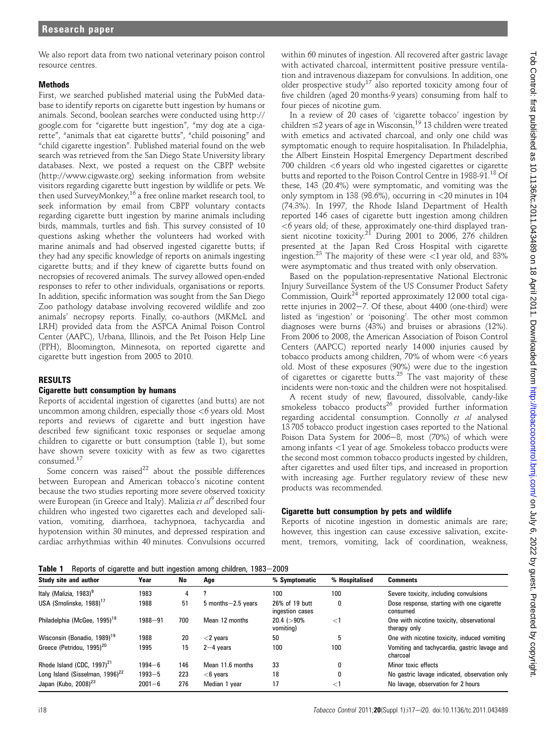We also report data from two national veterinary poison control resource centres.

## **Methods**

First, we searched published material using the PubMed database to identify reports on cigarette butt ingestion by humans or animals. Second, boolean searches were conducted using http:// google.com for "cigarette butt ingestion", "my dog ate a cigarette", "animals that eat cigarette butts", "child poisoning" and "child cigarette ingestion". Published material found on the web search was retrieved from the San Diego State University library databases. Next, we posted a request on the CBPP website (http://www.cigwaste.org) seeking information from website visitors regarding cigarette butt ingestion by wildlife or pets. We then used SurveyMonkey,<sup>16</sup> a free online market research tool, to seek information by email from CBPP voluntary contacts regarding cigarette butt ingestion by marine animals including birds, mammals, turtles and fish. This survey consisted of 10 questions asking whether the volunteers had worked with marine animals and had observed ingested cigarette butts; if they had any specific knowledge of reports on animals ingesting cigarette butts; and if they knew of cigarette butts found on necropsies of recovered animals. The survey allowed open-ended responses to refer to other individuals, organisations or reports. In addition, specific information was sought from the San Diego Zoo pathology database involving recovered wildlife and zoo animals' necropsy reports. Finally, co-authors (MKMcL and LRH) provided data from the ASPCA Animal Poison Control Center (AAPC), Urbana, Illinois, and the Pet Poison Help Line (PPH), Bloomington, Minnesota, on reported cigarette and cigarette butt ingestion from 2005 to 2010.

## RESULTS

## Cigarette butt consumption by humans

Reports of accidental ingestion of cigarettes (and butts) are not uncommon among children, especially those  $<6$  years old. Most reports and reviews of cigarette and butt ingestion have described few significant toxic responses or sequelae among children to cigarette or butt consumption (table 1), but some have shown severe toxicity with as few as two cigarettes consumed.<sup>17</sup>

Some concern was raised<sup>22</sup> about the possible differences between European and American tobacco's nicotine content because the two studies reporting more severe observed toxicity were European (in Greece and Italy). Malizia et  $al^9$  described four children who ingested two cigarettes each and developed salivation, vomiting, diarrhoea, tachypnoea, tachycardia and hypotension within 30 minutes, and depressed respiration and cardiac arrhythmias within 40 minutes. Convulsions occurred

within 60 minutes of ingestion. All recovered after gastric lavage with activated charcoal, intermittent positive pressure ventilation and intravenous diazepam for convulsions. In addition, one older prospective study<sup>17</sup> also reported toxicity among four of five children (aged 20 months-9 years) consuming from half to four pieces of nicotine gum.

In a review of 20 cases of 'cigarette tobacco' ingestion by children  $\leq$ 2 years of age in Wisconsin,<sup>19</sup> 13 children were treated with emetics and activated charcoal, and only one child was symptomatic enough to require hospitalisation. In Philadelphia, the Albert Einstein Hospital Emergency Department described 700 children <6 years old who ingested cigarettes or cigarette butts and reported to the Poison Control Centre in 1988-91.<sup>18</sup> Of these, 143 (20.4%) were symptomatic, and vomiting was the only symptom in 138 (98.6%), occurring in <20 minutes in 104 (74.3%). In 1997, the Rhode Island Department of Health reported 146 cases of cigarette butt ingestion among children  $<$ 6 years old; of these, approximately one-third displayed transient nicotine toxicity.<sup>21</sup> During 2001 to 2006, 276 children presented at the Japan Red Cross Hospital with cigarette ingestion.<sup>23</sup> The majority of these were  $\lt 1$  year old, and 83% were asymptomatic and thus treated with only observation.

Based on the population-representative National Electronic Injury Surveillance System of the US Consumer Product Safety Commission, Quirk $^{24}$  reported approximately 12 000 total cigarette injuries in  $2002-7$ . Of these, about 4400 (one-third) were listed as 'ingestion' or 'poisoning'. The other most common diagnoses were burns (43%) and bruises or abrasions (12%). From 2006 to 2008, the American Association of Poison Control Centers (AAPCC) reported nearly 14 000 injuries caused by tobacco products among children,  $70\%$  of whom were  $<6$  years old. Most of these exposures (90%) were due to the ingestion of cigarettes or cigarette butts.<sup>25</sup> The vast majority of these incidents were non-toxic and the children were not hospitalised.

A recent study of new, flavoured, dissolvable, candy-like smokeless tobacco products<sup>26</sup> provided further information regarding accidental consumption. Connolly et al analysed 13 705 tobacco product ingestion cases reported to the National Poison Data System for 2006-8, most (70%) of which were among infants <1 year of age. Smokeless tobacco products were the second most common tobacco products ingested by children, after cigarettes and used filter tips, and increased in proportion with increasing age. Further regulatory review of these new products was recommended.

## Cigarette butt consumption by pets and wildlife

Reports of nicotine ingestion in domestic animals are rare; however, this ingestion can cause excessive salivation, excitement, tremors, vomiting, lack of coordination, weakness,

Table 1 Reports of cigarette and butt ingestion among children, 1983-2009

| Study site and author                       | Year        | No  | Age                     | % Symptomatic                     | % Hospitalised | <b>Comments</b>                                           |
|---------------------------------------------|-------------|-----|-------------------------|-----------------------------------|----------------|-----------------------------------------------------------|
| Italy (Malizia, 1983) <sup>9</sup>          | 1983        | 4   |                         | 100                               | 100            | Severe toxicity, including convulsions                    |
| USA (Smolinske, 1988) <sup>17</sup>         | 1988        | 51  | $5$ months $-2.5$ years | 26% of 19 butt<br>ingestion cases |                | Dose response, starting with one cigarette<br>consumed    |
| Philadelphia (McGee, 1995) <sup>18</sup>    | $1988 - 91$ | 700 | Mean 12 months          | $20.4$ ( $>90\%$ )<br>vomiting)   | $<$ 1          | One with nicotine toxicity, observational<br>therapy only |
| Wisconsin (Bonadio, 1989) <sup>19</sup>     | 1988        | 20  | $<$ 2 vears             | 50                                |                | One with nicotine toxicity, induced vomiting              |
| Greece (Petridou, 1995) <sup>20</sup>       | 1995        | 15  | $2-4$ years             | 100                               | 100            | Vomiting and tachycardia, gastric lavage and<br>charcoal  |
| Rhode Island (CDC, 1997) <sup>21</sup>      | $1994 - 6$  | 146 | Mean 11.6 months        | 33                                |                | Minor toxic effects                                       |
| Long Island (Sisselman, 1996) <sup>22</sup> | $1993 - 5$  | 223 | $<$ 6 years             | 18                                |                | No gastric lavage indicated, observation only             |
| Japan (Kubo, 2008) $^{23}$                  | $2001 - 6$  | 276 | Median 1 year           | 17                                | $<$ 1          | No lavage, observation for 2 hours                        |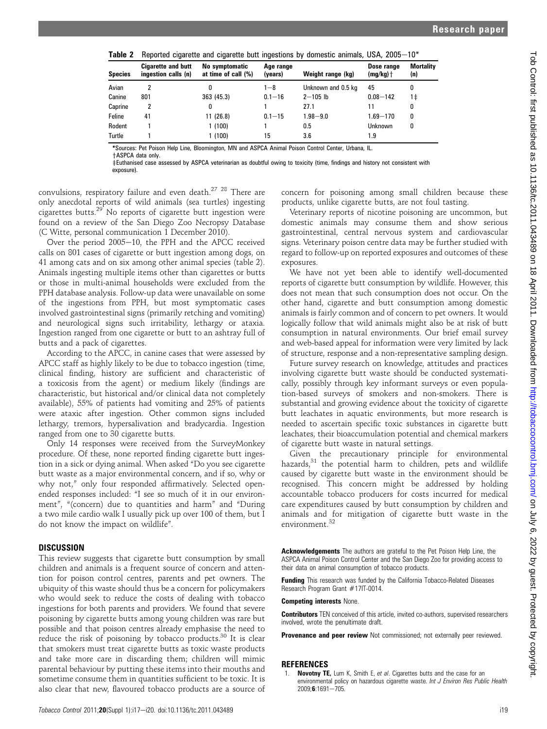| TANIA L        | neported cigarette and cigarette butt ingestions by domestic animals, OSA, 2003—TO |                                       |                      |                    |                           |                         |  |  |
|----------------|------------------------------------------------------------------------------------|---------------------------------------|----------------------|--------------------|---------------------------|-------------------------|--|--|
| <b>Species</b> | <b>Cigarette and butt</b><br>ingestion calls (n)                                   | No symptomatic<br>at time of call (%) | Age range<br>(years) | Weight range (kg)  | Dose range<br>$(mg/kg)$ + | <b>Mortality</b><br>(n) |  |  |
| Avian          |                                                                                    |                                       | $1 - 8$              | Unknown and 0.5 kg | 45                        | 0                       |  |  |
| Canine         | 801                                                                                | 363 (45.3)                            | $0.1 - 16$           | $2 - 105$ lb       | $0.08 - 142$              | 1‡                      |  |  |
| Caprine        | 2                                                                                  |                                       |                      | 27.1               | 11                        | 0                       |  |  |
| Feline         | 41                                                                                 | 11(26.8)                              | $0.1 - 15$           | $1.98 - 9.0$       | $1.69 - 170$              | 0                       |  |  |
| Rodent         |                                                                                    | 1(100)                                |                      | 0.5                | <b>Unknown</b>            | 0                       |  |  |
| Turtle         |                                                                                    | 1 (100)                               | 15                   | 3.6                | 1.9                       |                         |  |  |

Beported cigarette and cigarette butt ingestions by domestic animals, USA,  $2005-10*$ 

\*Sources: Pet Poison Help Line, Bloomington, MN and ASPCA Animal Poison Control Center, Urbana, IL.

+ASPCA data only.

zEuthanised case assessed by ASPCA veterinarian as doubtful owing to toxicity (time, findings and history not consistent with exposure).

convulsions, respiratory failure and even death.<sup>27</sup> <sup>28</sup> There are only anecdotal reports of wild animals (sea turtles) ingesting cigarettes butts.<sup>29</sup> No reports of cigarette butt ingestion were found on a review of the San Diego Zoo Necropsy Database (C Witte, personal communication 1 December 2010).

Over the period  $2005-10$ , the PPH and the APCC received calls on 801 cases of cigarette or butt ingestion among dogs, on 41 among cats and on six among other animal species (table 2). Animals ingesting multiple items other than cigarettes or butts or those in multi-animal households were excluded from the PPH database analysis. Follow-up data were unavailable on some of the ingestions from PPH, but most symptomatic cases involved gastrointestinal signs (primarily retching and vomiting) and neurological signs such irritability, lethargy or ataxia. Ingestion ranged from one cigarette or butt to an ashtray full of butts and a pack of cigarettes.

According to the APCC, in canine cases that were assessed by APCC staff as highly likely to be due to tobacco ingestion (time, clinical finding, history are sufficient and characteristic of a toxicosis from the agent) or medium likely (findings are characteristic, but historical and/or clinical data not completely available), 55% of patients had vomiting and 25% of patients were ataxic after ingestion. Other common signs included lethargy, tremors, hypersalivation and bradycardia. Ingestion ranged from one to 30 cigarette butts.

Only 14 responses were received from the SurveyMonkey procedure. Of these, none reported finding cigarette butt ingestion in a sick or dying animal. When asked "Do you see cigarette butt waste as a major environmental concern, and if so, why or why not," only four responded affirmatively. Selected openended responses included: "I see so much of it in our environment", "(concern) due to quantities and harm" and "During a two mile cardio walk I usually pick up over 100 of them, but I do not know the impact on wildlife".

#### **DISCUSSION**

This review suggests that cigarette butt consumption by small children and animals is a frequent source of concern and attention for poison control centres, parents and pet owners. The ubiquity of this waste should thus be a concern for policymakers who would seek to reduce the costs of dealing with tobacco ingestions for both parents and providers. We found that severe poisoning by cigarette butts among young children was rare but possible and that poison centres already emphasise the need to reduce the risk of poisoning by tobacco products.<sup>30</sup> It is clear that smokers must treat cigarette butts as toxic waste products and take more care in discarding them; children will mimic parental behaviour by putting these items into their mouths and sometime consume them in quantities sufficient to be toxic. It is also clear that new, flavoured tobacco products are a source of

concern for poisoning among small children because these products, unlike cigarette butts, are not foul tasting.

Veterinary reports of nicotine poisoning are uncommon, but domestic animals may consume them and show serious gastrointestinal, central nervous system and cardiovascular signs. Veterinary poison centre data may be further studied with regard to follow-up on reported exposures and outcomes of these exposures.

We have not yet been able to identify well-documented reports of cigarette butt consumption by wildlife. However, this does not mean that such consumption does not occur. On the other hand, cigarette and butt consumption among domestic animals is fairly common and of concern to pet owners. It would logically follow that wild animals might also be at risk of butt consumption in natural environments. Our brief email survey and web-based appeal for information were very limited by lack of structure, response and a non-representative sampling design.

Future survey research on knowledge, attitudes and practices involving cigarette butt waste should be conducted systematically, possibly through key informant surveys or even population-based surveys of smokers and non-smokers. There is substantial and growing evidence about the toxicity of cigarette butt leachates in aquatic environments, but more research is needed to ascertain specific toxic substances in cigarette butt leachates, their bioaccumulation potential and chemical markers of cigarette butt waste in natural settings.

Given the precautionary principle for environmental hazards, $31$  the potential harm to children, pets and wildlife caused by cigarette butt waste in the environment should be recognised. This concern might be addressed by holding accountable tobacco producers for costs incurred for medical care expenditures caused by butt consumption by children and animals and for mitigation of cigarette butt waste in the environment.<sup>32</sup>

Acknowledgements The authors are grateful to the Pet Poison Help Line, the ASPCA Animal Poison Control Center and the San Diego Zoo for providing access to their data on animal consumption of tobacco products.

Funding This research was funded by the California Tobacco-Related Diseases Research Program Grant #17IT-0014.

Competing interests None.

Contributors TEN conceived of this article, invited co-authors, supervised researchers involved, wrote the penultimate draft.

Provenance and peer review Not commissioned; not externally peer reviewed.

#### REFERENCES

1. Novotny TE, Lum K, Smith E, et al. Cigarettes butts and the case for an environmental policy on hazardous cigarette waste. Int J Environ Res Public Health  $2009:6:1691 - 705$